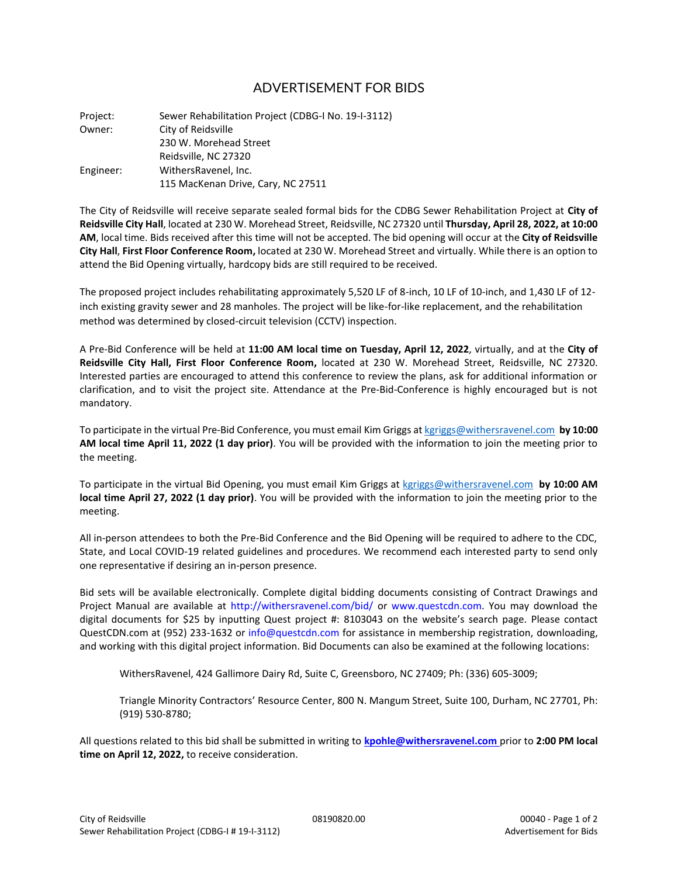## ADVERTISEMENT FOR BIDS

Project: Sewer Rehabilitation Project (CDBG-I No. 19-I-3112) Owner: City of Reidsville 230 W. Morehead Street Reidsville, NC 27320 Engineer: WithersRavenel, Inc. 115 MacKenan Drive, Cary, NC 27511

The City of Reidsville will receive separate sealed formal bids for the CDBG Sewer Rehabilitation Project at **City of Reidsville City Hall**, located at 230 W. Morehead Street, Reidsville, NC 27320 until **Thursday, April 28, 2022, at 10:00 AM**, local time. Bids received after this time will not be accepted. The bid opening will occur at the **City of Reidsville City Hall**, **First Floor Conference Room,** located at 230 W. Morehead Street and virtually. While there is an option to attend the Bid Opening virtually, hardcopy bids are still required to be received.

The proposed project includes rehabilitating approximately 5,520 LF of 8-inch, 10 LF of 10-inch, and 1,430 LF of 12 inch existing gravity sewer and 28 manholes. The project will be like-for-like replacement, and the rehabilitation method was determined by closed-circuit television (CCTV) inspection.

A Pre‐Bid Conference will be held at **11:00 AM local time on Tuesday, April 12, 2022**, virtually, and at the **City of Reidsville City Hall, First Floor Conference Room,** located at 230 W. Morehead Street, Reidsville, NC 27320. Interested parties are encouraged to attend this conference to review the plans, ask for additional information or clarification, and to visit the project site. Attendance at the Pre‐Bid‐Conference is highly encouraged but is not mandatory.

To participate in the virtual Pre‐Bid Conference, you must email Kim Griggs at [kgriggs@withersravenel.com](mailto:kgriggs@withersravenel.com) **by 10:00 AM local time April 11, 2022 (1 day prior)**. You will be provided with the information to join the meeting prior to the meeting.

To participate in the virtual Bid Opening, you must email Kim Griggs a[t kgriggs@withersravenel.com](mailto:kgriggs@withersravenel.com) **by 10:00 AM local time April 27, 2022 (1 day prior)**. You will be provided with the information to join the meeting prior to the meeting.

All in-person attendees to both the Pre-Bid Conference and the Bid Opening will be required to adhere to the CDC, State, and Local COVID‐19 related guidelines and procedures. We recommend each interested party to send only one representative if desiring an in‐person presence.

Bid sets will be available electronically. Complete digital bidding documents consisting of Contract Drawings and Project Manual are available at http://withersravenel.com/bid/ or www.questcdn.com. You may download the digital documents for \$25 by inputting Quest project #: 8103043 on the website's search page. Please contact QuestCDN.com at (952) 233-1632 or info@questcdn.com for assistance in membership registration, downloading, and working with this digital project information. Bid Documents can also be examined at the following locations:

WithersRavenel, 424 Gallimore Dairy Rd, Suite C, Greensboro, NC 27409; Ph: (336) 605-3009;

Triangle Minority Contractors' Resource Center, 800 N. Mangum Street, Suite 100, Durham, NC 27701, Ph: (919) 530-8780;

All questions related to this bid shall be submitted in writing to **kpohle@withersravenel.com** prior to **2:00 PM local time on April 12, 2022,** to receive consideration.